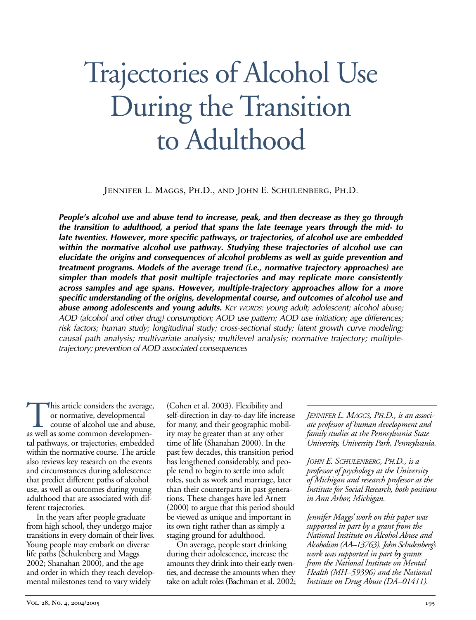# Trajectories of Alcohol Use During the Transition to Adulthood

Jennifer L. Maggs, Ph.D., and John E. Schulenberg, Ph.D.

*People's alcohol use and abuse tend to increase, peak, and then decrease as they go through the transition to adulthood, a period that spans the late teenage years through the mid- to late twenties. However, more specific pathways, or trajectories, of alcohol use are embedded within the normative alcohol use pathway. Studying these trajectories of alcohol use can elucidate the origins and consequences of alcohol problems as well as guide prevention and treatment programs. Models of the average trend (i.e., normative trajectory approaches) are simpler than models that posit multiple trajectories and may replicate more consistently across samples and age spans. However, multipletrajectory approaches allow for a more specific understanding of the origins, developmental course, and outcomes of alcohol use and abuse among adolescents and young adults. KEY WORDS: young adult; adolescent; alcohol abuse; AOD (alcohol and other drug) consumption; AOD use pattern; AOD use initiation; age differences; risk factors; human study; longitudinal study; crosssectional study; latent growth curve modeling; causal path analysis; multivariate analysis; multilevel analysis; normative trajectory; multipletrajectory; prevention of AOD associated consequences*

This article considers the average,<br>or normative, developmental<br>as well as some common developmenor normative, developmental course of alcohol use and abuse, tal pathways, or trajectories, embedded within the normative course. The article also reviews key research on the events and circumstances during adolescence that predict different paths of alcohol use, as well as outcomes during young adulthood that are associated with different trajectories.

In the years after people graduate from high school, they undergo major transitions in every domain of their lives. Young people may embark on diverse life paths (Schulenberg and Maggs 2002; Shanahan 2000), and the age and order in which they reach developmental milestones tend to vary widely

(Cohen et al. 2003). Flexibility and self-direction in day-to-day life increase for many, and their geographic mobility may be greater than at any other time of life (Shanahan 2000). In the past few decades, this transition period has lengthened considerably, and people tend to begin to settle into adult roles, such as work and marriage, later than their counterparts in past generations. These changes have led Arnett (2000) to argue that this period should be viewed as unique and important in its own right rather than as simply a staging ground for adulthood.

On average, people start drinking during their adolescence, increase the amounts they drink into their early twenties, and decrease the amounts when they take on adult roles (Bachman et al. 2002; *JENNIFER L. MAGGS, PH.D., is an associate professor of human development and family studies at the Pennsylvania State University, University Park, Pennsylvania.*

*JOHN E. SCHULENBERG, PH.D., is a professor of psychology at the University of Michigan and research professor at the Institute for Social Research, both positions in Ann Arbor, Michigan.*

*Jennifer Maggs' work on this paper was supported in part by a grant from the National Institute on Alcohol Abuse and Alcoholism (AA–13763). John Schulenberg's work was supported in part by grants from the National Institute on Mental Health (MH–59396) and the National Institute on Drug Abuse (DA–01411).*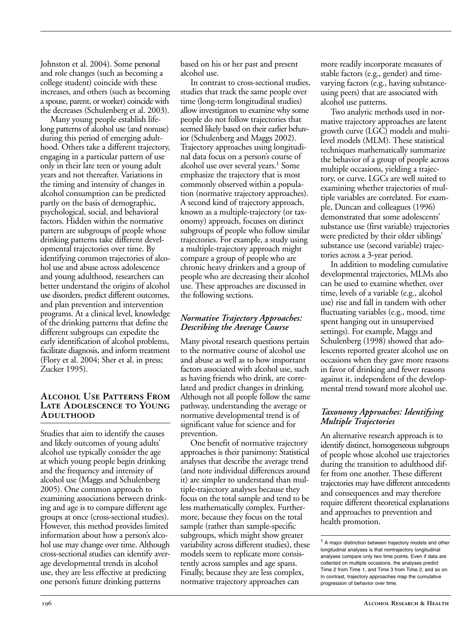Johnston et al. 2004). Some personal and role changes (such as becoming a college student) coincide with these increases, and others (such as becoming a spouse, parent, or worker) coincide with the decreases (Schulenberg et al. 2003).

Many young people establish lifelong patterns of alcohol use (and nonuse) during this period of emerging adulthood. Others take a different trajectory, engaging in a particular pattern of use only in their late teen or young adult years and not thereafter. Variations in the timing and intensity of changes in alcohol consumption can be predicted partly on the basis of demographic, psychological, social, and behavioral factors. Hidden within the normative pattern are subgroups of people whose drinking patterns take different developmental trajectories over time. By identifying common trajectories of alcohol use and abuse across adolescence and young adulthood, researchers can better understand the origins of alcohol use disorders, predict different outcomes, and plan prevention and intervention programs. At a clinical level, knowledge of the drinking patterns that define the different subgroups can expedite the early identification of alcohol problems, facilitate diagnosis, and inform treatment (Flory et al. 2004; Sher et al. in press; Zucker 1995).

# **Alcohol Use Patterns From Late Adolescence to Young Adulthood**

Studies that aim to identify the causes and likely outcomes of young adults' alcohol use typically consider the age at which young people begin drinking and the frequency and intensity of alcohol use (Maggs and Schulenberg 2005). One common approach to examining associations between drinking and age is to compare different age groups at once (cross-sectional studies). However, this method provides limited information about how a person's alcohol use may change over time. Although cross-sectional studies can identify average developmental trends in alcohol use, they are less effective at predicting one person's future drinking patterns

based on his or her past and present alcohol use.

In contrast to cross-sectional studies, studies that track the same people over time (long-term longitudinal studies) allow investigators to examine why some people do not follow trajectories that seemed likely based on their earlier behavior (Schulenberg and Maggs 2002). Trajectory approaches using longitudinal data focus on a person's course of alcohol use over several years.<sup>1</sup> Some emphasize the trajectory that is most commonly observed within a population (normative trajectory approaches). A second kind of trajectory approach, known as a multiple-trajectory (or taxonomy) approach, focuses on distinct subgroups of people who follow similar trajectories. For example, a study using a multiple-trajectory approach might compare a group of people who are chronic heavy drinkers and a group of people who are decreasing their alcohol use. These approaches are discussed in the following sections.

## *Normative Trajectory Approaches: Describing the Average Course*

Many pivotal research questions pertain to the normative course of alcohol use and abuse as well as to how important factors associated with alcohol use, such as having friends who drink, are correlated and predict changes in drinking. Although not all people follow the same pathway, understanding the average or normative developmental trend is of significant value for science and for prevention.

One benefit of normative trajectory approaches is their parsimony: Statistical analyses that describe the average trend (and note individual differences around it) are simpler to understand than multiple-trajectory analyses because they focus on the total sample and tend to be less mathematically complex. Furthermore, because they focus on the total sample (rather than sample-specific subgroups, which might show greater variability across different studies), these models seem to replicate more consistently across samples and age spans. Finally, because they are less complex, normative trajectory approaches can

more readily incorporate measures of stable factors (e.g., gender) and timevarying factors (e.g., having substanceusing peers) that are associated with alcohol use patterns.

Two analytic methods used in normative trajectory approaches are latent growth curve (LGC) models and multilevel models (MLM). These statistical techniques mathematically summarize the behavior of a group of people across multiple occasions, yielding a trajectory, or curve. LGCs are well suited to examining whether trajectories of multiple variables are correlated. For example, Duncan and colleagues (1996) demonstrated that some adolescents' substance use (first variable) trajectories were predicted by their older siblings' substance use (second variable) trajectories across a 3-year period.

In addition to modeling cumulative developmental trajectories, MLMs also can be used to examine whether, over time, levels of a variable (e.g., alcohol use) rise and fall in tandem with other fluctuating variables (e.g., mood, time spent hanging out in unsupervised settings). For example, Maggs and Schulenberg (1998) showed that adolescents reported greater alcohol use on occasions when they gave more reasons in favor of drinking and fewer reasons against it, independent of the developmental trend toward more alcohol use.

# *Taxonomy Approaches: Identifying Multiple Trajectories*

An alternative research approach is to identify distinct, homogeneous subgroups of people whose alcohol use trajectories during the transition to adulthood differ from one another. These different trajectories may have different antecedents and consequences and may therefore require different theoretical explanations and approaches to prevention and health promotion.

<sup>&</sup>lt;sup>1</sup> A major distinction between trajectory models and other longitudinal analyses is that nontrajectory longitudinal analyses compare only two time points. Even if data are collected on multiple occasions, the analyses predict Time 2 from Time 1, and Time 3 from Time 2, and so on. In contrast, trajectory approaches map the cumulative progression of behavior over time.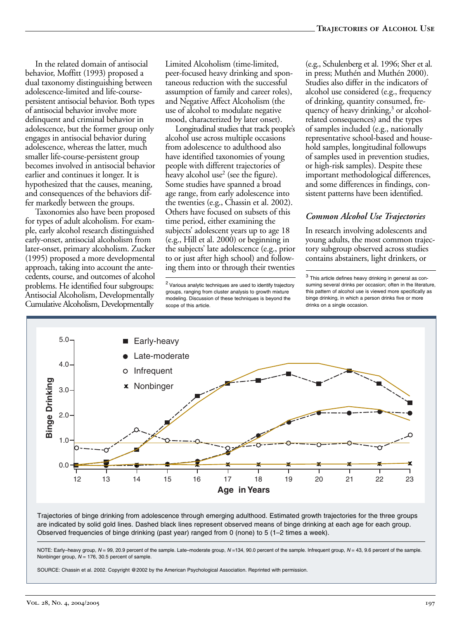In the related domain of antisocial behavior, Moffitt (1993) proposed a dual taxonomy distinguishing between adolescence-limited and life-coursepersistent antisocial behavior. Both types of antisocial behavior involve more delinquent and criminal behavior in adolescence, but the former group only engages in antisocial behavior during adolescence, whereas the latter, much smaller life-course-persistent group becomes involved in antisocial behavior earlier and continues it longer. It is hypothesized that the causes, meaning, and consequences of the behaviors differ markedly between the groups.

Taxonomies also have been proposed for types of adult alcoholism. For example, early alcohol research distinguished early-onset, antisocial alcoholism from later-onset, primary alcoholism. Zucker (1995) proposed a more developmental approach, taking into account the antecedents, course, and outcomes of alcohol problems. He identified four subgroups: Antisocial Alcoholism, Developmentally Cumulative Alcoholism, Developmentally

Limited Alcoholism (time-limited, peer-focused heavy drinking and spontaneous reduction with the successful assumption of family and career roles), and Negative Affect Alcoholism (the use of alcohol to modulate negative mood, characterized by later onset).

Longitudinal studies that track people's alcohol use across multiple occasions from adolescence to adulthood also have identified taxonomies of young people with different trajectories of heavy alcohol use<sup>2</sup> (see the figure). Some studies have spanned a broad age range, from early adolescence into the twenties (e.g., Chassin et al. 2002). Others have focused on subsets of this time period, either examining the subjects' adolescent years up to age 18 (e.g., Hill et al. 2000) or beginning in the subjects' late adolescence (e.g., prior to or just after high school) and following them into or through their twenties

(e.g., Schulenberg et al. 1996; Sher et al. in press; Muthén and Muthén 2000). Studies also differ in the indicators of alcohol use considered (e.g., frequency of drinking, quantity consumed, frequency of heavy drinking,<sup>3</sup> or alcoholrelated consequences) and the types of samples included (e.g., nationally representative school-based and household samples, longitudinal followups of samples used in prevention studies, or high-risk samples). Despite these important methodological differences, and some differences in findings, consistent patterns have been identified.

# *Common Alcohol Use Trajectories*

In research involving adolescents and young adults, the most common trajectory subgroup observed across studies contains abstainers, light drinkers, or

 $3$  This article defines heavy drinking in general as consuming several drinks per occasion; often in the literature, this pattern of alcohol use is viewed more specifically as binge drinking, in which a person drinks five or more drinks on a single occasion.



Trajectories of binge drinking from adolescence through emerging adulthood. Estimated growth trajectories for the three groups are indicated by solid gold lines. Dashed black lines represent observed means of binge drinking at each age for each group. Observed frequencies of binge drinking (past year) ranged from 0 (none) to 5 (1–2 times a week).

NOTE: Early–heavy group,  $N = 99$ , 20.9 percent of the sample. Late–moderate group,  $N = 134$ , 90.0 percent of the sample. Infrequent group,  $N = 43$ , 9.6 percent of the sample. Nonbinger group,  $N = 176$ , 30.5 percent of sample.

SOURCE: Chassin et al. 2002. Copyright @2002 by the American Psychological Association. Reprinted with permission.

<sup>&</sup>lt;sup>2</sup> Various analytic techniques are used to identify trajectory groups, ranging from cluster analysis to growth mixture modeling. Discussion of these techniques is beyond the scope of this article.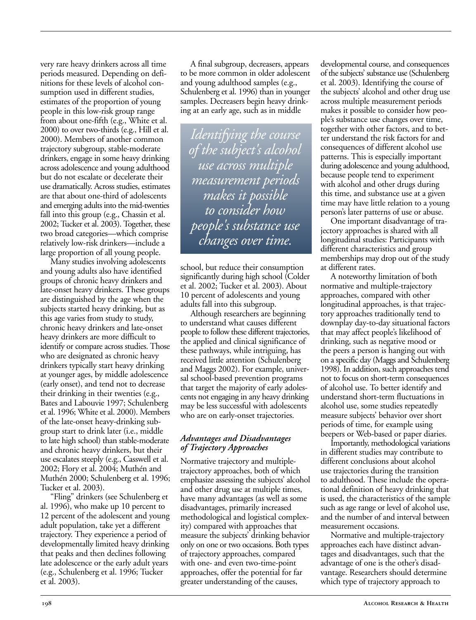very rare heavy drinkers across all time periods measured. Depending on definitions for these levels of alcohol consumption used in different studies, estimates of the proportion of young people in this low-risk group range from about one-fifth (e.g., White et al. 2000) to over two-thirds (e.g., Hill et al. 2000). Members of another common trajectory subgroup, stable-moderate drinkers, engage in some heavy drinking across adolescence and young adulthood but do not escalate or decelerate their use dramatically. Across studies, estimates are that about one-third of adolescents and emerging adults into the mid-twenties fall into this group (e.g., Chassin et al. 2002; Tucker et al. 2003). Together, these two broad categories—which comprise relatively low-risk drinkers—include a large proportion of all young people.

Many studies involving adolescents and young adults also have identified groups of chronic heavy drinkers and late-onset heavy drinkers. These groups are distinguished by the age when the subjects started heavy drinking, but as this age varies from study to study, chronic heavy drinkers and late-onset heavy drinkers are more difficult to identify or compare across studies. Those who are designated as chronic heavy drinkers typically start heavy drinking at younger ages, by middle adolescence (early onset), and tend not to decrease their drinking in their twenties (e.g., Bates and Labouvie 1997; Schulenberg et al. 1996; White et al. 2000). Members of the late-onset heavy-drinking subgroup start to drink later (i.e., middle to late high school) than stable-moderate and chronic heavy drinkers, but their use escalates steeply (e.g., Casswell et al. 2002; Flory et al. 2004; Muthén and Muthén 2000; Schulenberg et al. 1996; Tucker et al. 2003).

"Fling" drinkers (see Schulenberg et al. 1996), who make up 10 percent to 12 percent of the adolescent and young adult population, take yet a different trajectory. They experience a period of developmentally limited heavy drinking that peaks and then declines following late adolescence or the early adult years (e.g., Schulenberg et al. 1996; Tucker et al. 2003).

A final subgroup, decreasers, appears to be more common in older adolescent and young adulthood samples (e.g., Schulenberg et al. 1996) than in younger samples. Decreasers begin heavy drinking at an early age, such as in middle

*Identifying the course of the subject's alcohol use across multiple measurement periods makes it possible to consider how people's substance use changes over time.*

school, but reduce their consumption significantly during high school (Colder et al. 2002; Tucker et al. 2003). About 10 percent of adolescents and young adults fall into this subgroup.

Although researchers are beginning to understand what causes different people to follow these different trajectories, the applied and clinical significance of these pathways, while intriguing, has received little attention (Schulenberg and Maggs 2002). For example, universal school-based prevention programs that target the majority of early adolescents not engaging in any heavy drinking may be less successful with adolescents who are on early-onset trajectories.

## *Advantages and Disadvantages of Trajectory Approaches*

Normative trajectory and multipletrajectory approaches, both of which emphasize assessing the subjects' alcohol and other drug use at multiple times, have many advantages (as well as some disadvantages, primarily increased methodological and logistical complexity) compared with approaches that measure the subjects' drinking behavior only on one or two occasions. Both types of trajectory approaches, compared with one- and even two-time-point approaches, offer the potential for far greater understanding of the causes,

developmental course, and consequences of the subjects' substance use (Schulenberg et al. 2003). Identifying the course of the subjects' alcohol and other drug use across multiple measurement periods makes it possible to consider how people's substance use changes over time, together with other factors, and to better understand the risk factors for and consequences of different alcohol use patterns. This is especially important during adolescence and young adulthood, because people tend to experiment with alcohol and other drugs during this time, and substance use at a given time may have little relation to a young person's later patterns of use or abuse.

One important disadvantage of trajectory approaches is shared with all longitudinal studies: Participants with different characteristics and group memberships may drop out of the study at different rates.

A noteworthy limitation of both normative and multiple-trajectory approaches, compared with other longitudinal approaches, is that trajectory approaches traditionally tend to downplay day-to-day situational factors that may affect people's likelihood of drinking, such as negative mood or the peers a person is hanging out with on a specific day (Maggs and Schulenberg 1998). In addition, such approaches tend not to focus on short-term consequences of alcohol use. To better identify and understand short-term fluctuations in alcohol use, some studies repeatedly measure subjects' behavior over short periods of time, for example using beepers or Web-based or paper diaries.

Importantly, methodological variations in different studies may contribute to different conclusions about alcohol use trajectories during the transition to adulthood. These include the operational definition of heavy drinking that is used, the characteristics of the sample such as age range or level of alcohol use, and the number of and interval between measurement occasions.

Normative and multiple-trajectory approaches each have distinct advantages and disadvantages, such that the advantage of one is the other's disadvantage. Researchers should determine which type of trajectory approach to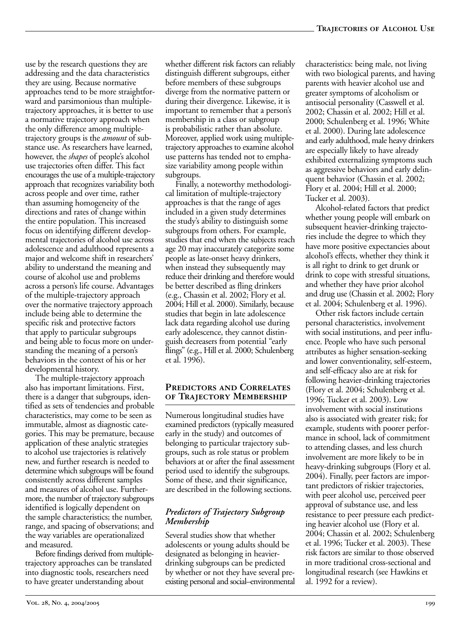use by the research questions they are addressing and the data characteristics they are using. Because normative approaches tend to be more straightforward and parsimonious than multipletrajectory approaches, it is better to use a normative trajectory approach when the only difference among multipletrajectory groups is the *amount* of substance use. As researchers have learned, however, the *shapes* of people's alcohol use trajectories often differ. This fact encourages the use of a multiple-trajectory approach that recognizes variability both across people and over time, rather than assuming homogeneity of the directions and rates of change within the entire population. This increased focus on identifying different developmental trajectories of alcohol use across adolescence and adulthood represents a major and welcome shift in researchers' ability to understand the meaning and course of alcohol use and problems across a person's life course. Advantages of the multiple-trajectory approach over the normative trajectory approach include being able to determine the specific risk and protective factors that apply to particular subgroups and being able to focus more on understanding the meaning of a person's behaviors in the context of his or her developmental history.

The multiple-trajectory approach also has important limitations. First, there is a danger that subgroups, identified as sets of tendencies and probable characteristics, may come to be seen as immutable, almost as diagnostic categories. This may be premature, because application of these analytic strategies to alcohol use trajectories is relatively new, and further research is needed to determine which subgroups will be found consistently across different samples and measures of alcohol use. Furthermore, the number of trajectory subgroups identified is logically dependent on the sample characteristics; the number, range, and spacing of observations; and the way variables are operationalized and measured.

Before findings derived from multipletrajectory approaches can be translated into diagnostic tools, researchers need to have greater understanding about

whether different risk factors can reliably distinguish different subgroups, either before members of these subgroups diverge from the normative pattern or during their divergence. Likewise, it is important to remember that a person's membership in a class or subgroup is probabilistic rather than absolute. Moreover, applied work using multipletrajectory approaches to examine alcohol use patterns has tended not to emphasize variability among people within subgroups.

Finally, a noteworthy methodological limitation of multiple-trajectory approaches is that the range of ages included in a given study determines the study's ability to distinguish some subgroups from others. For example, studies that end when the subjects reach age 20 may inaccurately categorize some people as late-onset heavy drinkers, when instead they subsequently may reduce their drinking and therefore would be better described as fling drinkers (e.g., Chassin et al. 2002; Flory et al. 2004; Hill et al. 2000). Similarly, because studies that begin in late adolescence lack data regarding alcohol use during early adolescence, they cannot distinguish decreasers from potential "early flings" (e.g., Hill et al. 2000; Schulenberg et al. 1996).

## **Predictors and Correlates of Trajectory Membership**

Numerous longitudinal studies have examined predictors (typically measured early in the study) and outcomes of belonging to particular trajectory subgroups, such as role status or problem behaviors at or after the final assessment period used to identify the subgroups. Some of these, and their significance, are described in the following sections.

# *Predictors of Trajectory Subgroup Membership*

Several studies show that whether adolescents or young adults should be designated as belonging in heavierdrinking subgroups can be predicted by whether or not they have several preexisting personal and social–environmental characteristics: being male, not living with two biological parents, and having parents with heavier alcohol use and greater symptoms of alcoholism or antisocial personality (Casswell et al. 2002; Chassin et al. 2002; Hill et al. 2000; Schulenberg et al. 1996; White et al. 2000). During late adolescence and early adulthood, male heavy drinkers are especially likely to have already exhibited externalizing symptoms such as aggressive behaviors and early delinquent behavior (Chassin et al. 2002; Flory et al. 2004; Hill et al. 2000; Tucker et al. 2003).

Alcohol-related factors that predict whether young people will embark on subsequent heavier-drinking trajectories include the degree to which they have more positive expectancies about alcohol's effects, whether they think it is all right to drink to get drunk or drink to cope with stressful situations, and whether they have prior alcohol and drug use (Chassin et al. 2002; Flory et al. 2004; Schulenberg et al. 1996).

Other risk factors include certain personal characteristics, involvement with social institutions, and peer influence. People who have such personal attributes as higher sensation-seeking and lower conventionality, self-esteem, and self-efficacy also are at risk for following heavier-drinking trajectories (Flory et al. 2004; Schulenberg et al. 1996; Tucker et al. 2003). Low involvement with social institutions also is associated with greater risk; for example, students with poorer performance in school, lack of commitment to attending classes, and less church involvement are more likely to be in heavy-drinking subgroups (Flory et al. 2004). Finally, peer factors are important predictors of riskier trajectories, with peer alcohol use, perceived peer approval of substance use, and less resistance to peer pressure each predicting heavier alcohol use (Flory et al. 2004; Chassin et al. 2002; Schulenberg et al. 1996; Tucker et al. 2003). These risk factors are similar to those observed in more traditional cross-sectional and longitudinal research (see Hawkins et al. 1992 for a review).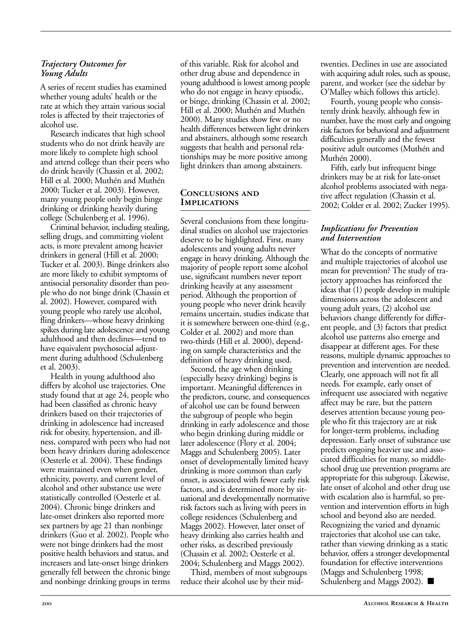#### *Trajectory Outcomes for Young Adults*

A series of recent studies has examined whether young adults' health or the rate at which they attain various social roles is affected by their trajectories of alcohol use.

Research indicates that high school students who do not drink heavily are more likely to complete high school and attend college than their peers who do drink heavily (Chassin et al. 2002; Hill et al. 2000; Muthén and Muthén 2000; Tucker et al. 2003). However, many young people only begin binge drinking or drinking heavily during college (Schulenberg et al. 1996).

Criminal behavior, including stealing, selling drugs, and committing violent acts, is more prevalent among heavier drinkers in general (Hill et al. 2000; Tucker et al. 2003). Binge drinkers also are more likely to exhibit symptoms of antisocial personality disorder than people who do not binge drink (Chassin et al. 2002). However, compared with young people who rarely use alcohol, fling drinkers—whose heavy drinking spikes during late adolescence and young adulthood and then declines—tend to have equivalent psychosocial adjustment during adulthood (Schulenberg et al. 2003).

Health in young adulthood also differs by alcohol use trajectories. One study found that at age 24, people who had been classified as chronic heavy drinkers based on their trajectories of drinking in adolescence had increased risk for obesity, hypertension, and illness, compared with peers who had not been heavy drinkers during adolescence (Oesterle et al. 2004). These findings were maintained even when gender, ethnicity, poverty, and current level of alcohol and other substance use were statistically controlled (Oesterle et al. 2004). Chronic binge drinkers and late-onset drinkers also reported more sex partners by age 21 than nonbinge drinkers (Guo et al. 2002). People who were not binge drinkers had the most positive health behaviors and status, and increasers and late-onset binge drinkers generally fell between the chronic binge and nonbinge drinking groups in terms of this variable. Risk for alcohol and other drug abuse and dependence in young adulthood is lowest among people who do not engage in heavy episodic, or binge, drinking (Chassin et al. 2002; Hill et al. 2000; Muthén and Muthén 2000). Many studies show few or no health differences between light drinkers and abstainers, although some research suggests that health and personal relationships may be more positive among light drinkers than among abstainers.

#### **Conclusions and Implications**

Several conclusions from these longitudinal studies on alcohol use trajectories deserve to be highlighted. First, many adolescents and young adults never engage in heavy drinking. Although the majority of people report some alcohol use, significant numbers never report drinking heavily at any assessment period. Although the proportion of young people who never drink heavily remains uncertain, studies indicate that it is somewhere between one-third (e.g., Colder et al. 2002) and more than two-thirds (Hill et al. 2000), depending on sample characteristics and the definition of heavy drinking used.

Second, the age when drinking (especially heavy drinking) begins is important. Meaningful differences in the predictors, course, and consequences of alcohol use can be found between the subgroup of people who begin drinking in early adolescence and those who begin drinking during middle or later adolescence (Flory et al. 2004; Maggs and Schulenberg 2005). Later onset of developmentally limited heavy drinking is more common than early onset, is associated with fewer early risk factors, and is determined more by situational and developmentally normative risk factors such as living with peers in college residences (Schulenberg and Maggs 2002). However, later onset of heavy drinking also carries health and other risks, as described previously (Chassin et al. 2002; Oesterle et al. 2004; Schulenberg and Maggs 2002).

Third, members of most subgroups reduce their alcohol use by their midtwenties. Declines in use are associated with acquiring adult roles, such as spouse, parent, and worker (see the sidebar by O'Malley which follows this article).

Fourth, young people who consistently drink heavily, although few in number, have the most early and ongoing risk factors for behavioral and adjustment difficulties generally and the fewest positive adult outcomes (Muthén and Muthén 2000).

Fifth, early but infrequent binge drinkers may be at risk for late-onset alcohol problems associated with negative affect regulation (Chassin et al. 2002; Colder et al. 2002; Zucker 1995).

## *Implications for Prevention and Intervention*

What do the concepts of normative and multiple trajectories of alcohol use mean for prevention? The study of trajectory approaches has reinforced the ideas that (1) people develop in multiple dimensions across the adolescent and young adult years, (2) alcohol use behaviors change differently for different people, and (3) factors that predict alcohol use patterns also emerge and disappear at different ages. For these reasons, multiple dynamic approaches to prevention and intervention are needed. Clearly, one approach will not fit all needs. For example, early onset of infrequent use associated with negative affect may be rare, but the pattern deserves attention because young people who fit this trajectory are at risk for longer-term problems, including depression. Early onset of substance use predicts ongoing heavier use and associated difficulties for many, so middleschool drug use prevention programs are appropriate for this subgroup. Likewise, late onset of alcohol and other drug use with escalation also is harmful, so prevention and intervention efforts in high school and beyond also are needed. Recognizing the varied and dynamic trajectories that alcohol use can take, rather than viewing drinking as a static behavior, offers a stronger developmental foundation for effective interventions (Maggs and Schulenberg 1998; Schulenberg and Maggs 2002). ■